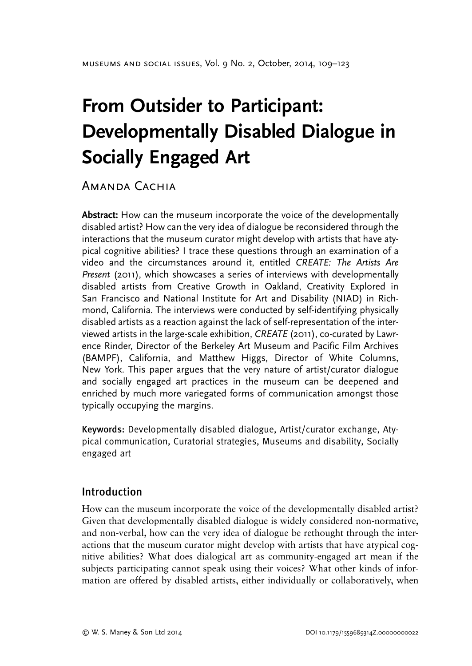# From Outsider to Participant: Developmentally Disabled Dialogue in Socially Engaged Art

Amanda Cachia

Abstract: How can the museum incorporate the voice of the developmentally disabled artist? How can the very idea of dialogue be reconsidered through the interactions that the museum curator might develop with artists that have atypical cognitive abilities? I trace these questions through an examination of a video and the circumstances around it, entitled CREATE: The Artists Are Present (2011), which showcases a series of interviews with developmentally disabled artists from Creative Growth in Oakland, Creativity Explored in San Francisco and National Institute for Art and Disability (NIAD) in Richmond, California. The interviews were conducted by self-identifying physically disabled artists as a reaction against the lack of self-representation of the interviewed artists in the large-scale exhibition, CREATE (2011), co-curated by Lawrence Rinder, Director of the Berkeley Art Museum and Pacific Film Archives (BAMPF), California, and Matthew Higgs, Director of White Columns, New York. This paper argues that the very nature of artist/curator dialogue and socially engaged art practices in the museum can be deepened and enriched by much more variegated forms of communication amongst those typically occupying the margins.

Keywords: Developmentally disabled dialogue, Artist/curator exchange, Atypical communication, Curatorial strategies, Museums and disability, Socially engaged art

# Introduction

How can the museum incorporate the voice of the developmentally disabled artist? Given that developmentally disabled dialogue is widely considered non-normative, and non-verbal, how can the very idea of dialogue be rethought through the interactions that the museum curator might develop with artists that have atypical cognitive abilities? What does dialogical art as community-engaged art mean if the subjects participating cannot speak using their voices? What other kinds of information are offered by disabled artists, either individually or collaboratively, when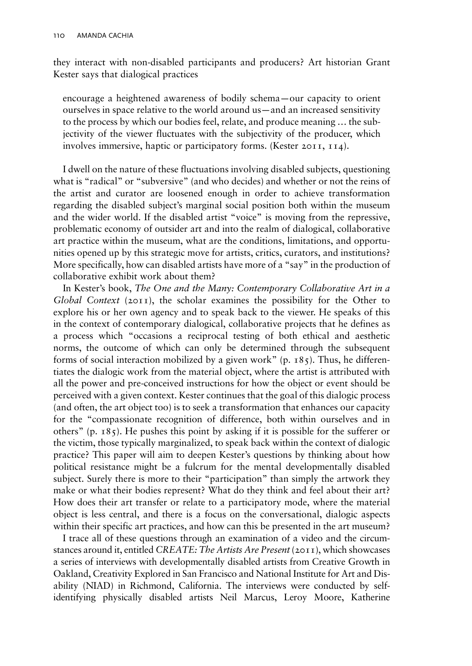they interact with non-disabled participants and producers? Art historian Grant Kester says that dialogical practices

encourage a heightened awareness of bodily schema—our capacity to orient ourselves in space relative to the world around us—and an increased sensitivity to the process by which our bodies feel, relate, and produce meaning … the subjectivity of the viewer fluctuates with the subjectivity of the producer, which involves immersive, haptic or participatory forms. ([Kester 2011,](#page-14-0) 114).

I dwell on the nature of these fluctuations involving disabled subjects, questioning what is "radical" or "subversive" (and who decides) and whether or not the reins of the artist and curator are loosened enough in order to achieve transformation regarding the disabled subject's marginal social position both within the museum and the wider world. If the disabled artist "voice" is moving from the repressive, problematic economy of outsider art and into the realm of dialogical, collaborative art practice within the museum, what are the conditions, limitations, and opportunities opened up by this strategic move for artists, critics, curators, and institutions? More specifically, how can disabled artists have more of a "say" in the production of collaborative exhibit work about them?

In Kester's book, The One and the Many: Contemporary Collaborative Art in a Global Context (2011), the scholar examines the possibility for the Other to explore his or her own agency and to speak back to the viewer. He speaks of this in the context of contemporary dialogical, collaborative projects that he defines as a process which "occasions a reciprocal testing of both ethical and aesthetic norms, the outcome of which can only be determined through the subsequent forms of social interaction mobilized by a given work" (p.  $185$ ). Thus, he differentiates the dialogic work from the material object, where the artist is attributed with all the power and pre-conceived instructions for how the object or event should be perceived with a given context. Kester continues that the goal of this dialogic process (and often, the art object too) is to seek a transformation that enhances our capacity for the "compassionate recognition of difference, both within ourselves and in others" (p. 185). He pushes this point by asking if it is possible for the sufferer or the victim, those typically marginalized, to speak back within the context of dialogic practice? This paper will aim to deepen Kester's questions by thinking about how political resistance might be a fulcrum for the mental developmentally disabled subject. Surely there is more to their "participation" than simply the artwork they make or what their bodies represent? What do they think and feel about their art? How does their art transfer or relate to a participatory mode, where the material object is less central, and there is a focus on the conversational, dialogic aspects within their specific art practices, and how can this be presented in the art museum?

I trace all of these questions through an examination of a video and the circumstances around it, entitled CREATE: The Artists Are Present (2011), which showcases a series of interviews with developmentally disabled artists from Creative Growth in Oakland, Creativity Explored in San Francisco and National Institute for Art and Disability (NIAD) in Richmond, California. The interviews were conducted by selfidentifying physically disabled artists Neil Marcus, Leroy Moore, Katherine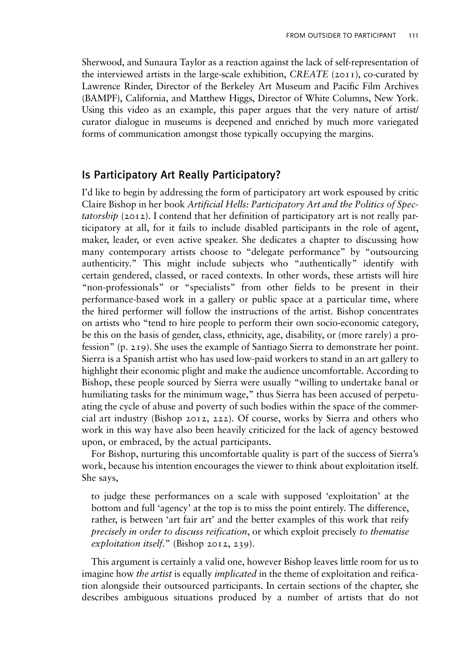Sherwood, and Sunaura Taylor as a reaction against the lack of self-representation of the interviewed artists in the large-scale exhibition,  $CREATE$  ( $2011$ ), co-curated by Lawrence Rinder, Director of the Berkeley Art Museum and Pacific Film Archives (BAMPF), California, and Matthew Higgs, Director of White Columns, New York. Using this video as an example, this paper argues that the very nature of artist/ curator dialogue in museums is deepened and enriched by much more variegated forms of communication amongst those typically occupying the margins.

## Is Participatory Art Really Participatory?

I'd like to begin by addressing the form of participatory art work espoused by critic Claire Bishop in her book Artificial Hells: Participatory Art and the Politics of Spectatorship (2012). I contend that her definition of participatory art is not really participatory at all, for it fails to include disabled participants in the role of agent, maker, leader, or even active speaker. She dedicates a chapter to discussing how many contemporary artists choose to "delegate performance" by "outsourcing authenticity." This might include subjects who "authentically" identify with certain gendered, classed, or raced contexts. In other words, these artists will hire "non-professionals" or "specialists" from other fields to be present in their performance-based work in a gallery or public space at a particular time, where the hired performer will follow the instructions of the artist. Bishop concentrates on artists who "tend to hire people to perform their own socio-economic category, be this on the basis of gender, class, ethnicity, age, disability, or (more rarely) a profession" (p. 219). She uses the example of Santiago Sierra to demonstrate her point. Sierra is a Spanish artist who has used low-paid workers to stand in an art gallery to highlight their economic plight and make the audience uncomfortable. According to Bishop, these people sourced by Sierra were usually "willing to undertake banal or humiliating tasks for the minimum wage," thus Sierra has been accused of perpetuating the cycle of abuse and poverty of such bodies within the space of the commercial art industry [\(Bishop 2012](#page-14-0), 222). Of course, works by Sierra and others who work in this way have also been heavily criticized for the lack of agency bestowed upon, or embraced, by the actual participants.

For Bishop, nurturing this uncomfortable quality is part of the success of Sierra's work, because his intention encourages the viewer to think about exploitation itself. She says,

to judge these performances on a scale with supposed 'exploitation' at the bottom and full 'agency' at the top is to miss the point entirely. The difference, rather, is between 'art fair art' and the better examples of this work that reify precisely in order to discuss reification, or which exploit precisely to thematise exploitation itself." [\(Bishop 2012,](#page-14-0) 239).

This argument is certainly a valid one, however Bishop leaves little room for us to imagine how *the artist* is equally *implicated* in the theme of exploitation and reification alongside their outsourced participants. In certain sections of the chapter, she describes ambiguous situations produced by a number of artists that do not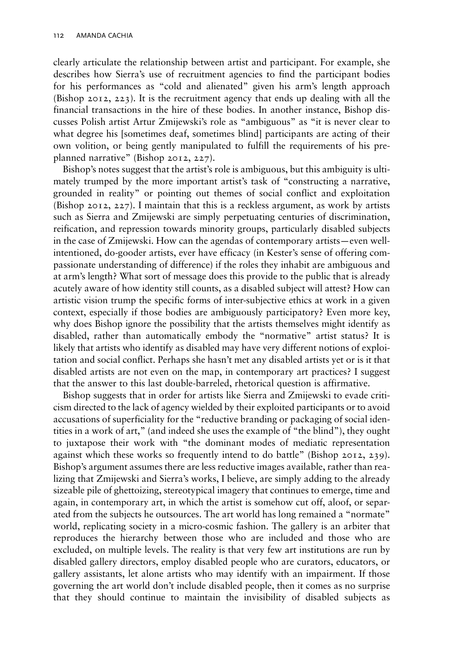clearly articulate the relationship between artist and participant. For example, she describes how Sierra's use of recruitment agencies to find the participant bodies for his performances as "cold and alienated" given his arm's length approach [\(Bishop 2012](#page-14-0), 223). It is the recruitment agency that ends up dealing with all the financial transactions in the hire of these bodies. In another instance, Bishop discusses Polish artist Artur Zmijewski's role as "ambiguous" as "it is never clear to what degree his [sometimes deaf, sometimes blind] participants are acting of their own volition, or being gently manipulated to fulfill the requirements of his preplanned narrative" ([Bishop 2012,](#page-14-0) 227).

Bishop's notes suggest that the artist's role is ambiguous, but this ambiguity is ultimately trumped by the more important artist's task of "constructing a narrative, grounded in reality" or pointing out themes of social conflict and exploitation [\(Bishop 2012,](#page-14-0) 227). I maintain that this is a reckless argument, as work by artists such as Sierra and Zmijewski are simply perpetuating centuries of discrimination, reification, and repression towards minority groups, particularly disabled subjects in the case of Zmijewski. How can the agendas of contemporary artists—even wellintentioned, do-gooder artists, ever have efficacy (in Kester's sense of offering compassionate understanding of difference) if the roles they inhabit are ambiguous and at arm's length? What sort of message does this provide to the public that is already acutely aware of how identity still counts, as a disabled subject will attest? How can artistic vision trump the specific forms of inter-subjective ethics at work in a given context, especially if those bodies are ambiguously participatory? Even more key, why does Bishop ignore the possibility that the artists themselves might identify as disabled, rather than automatically embody the "normative" artist status? It is likely that artists who identify as disabled may have very different notions of exploitation and social conflict. Perhaps she hasn't met any disabled artists yet or is it that disabled artists are not even on the map, in contemporary art practices? I suggest that the answer to this last double-barreled, rhetorical question is affirmative.

Bishop suggests that in order for artists like Sierra and Zmijewski to evade criticism directed to the lack of agency wielded by their exploited participants or to avoid accusations of superficiality for the "reductive branding or packaging of social identities in a work of art," (and indeed she uses the example of "the blind"), they ought to juxtapose their work with "the dominant modes of mediatic representation against which these works so frequently intend to do battle" ([Bishop 2012](#page-14-0), 239). Bishop's argument assumes there are less reductive images available, rather than realizing that Zmijewski and Sierra's works, I believe, are simply adding to the already sizeable pile of ghettoizing, stereotypical imagery that continues to emerge, time and again, in contemporary art, in which the artist is somehow cut off, aloof, or separated from the subjects he outsources. The art world has long remained a "normate" world, replicating society in a micro-cosmic fashion. The gallery is an arbiter that reproduces the hierarchy between those who are included and those who are excluded, on multiple levels. The reality is that very few art institutions are run by disabled gallery directors, employ disabled people who are curators, educators, or gallery assistants, let alone artists who may identify with an impairment. If those governing the art world don't include disabled people, then it comes as no surprise that they should continue to maintain the invisibility of disabled subjects as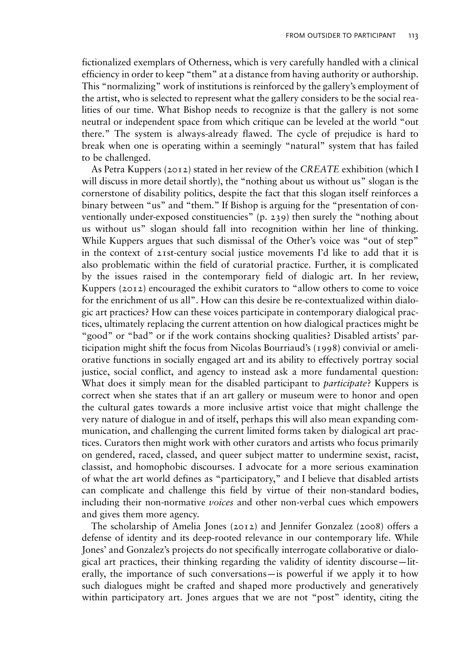fictionalized exemplars of Otherness, which is very carefully handled with a clinical efficiency in order to keep "them" at a distance from having authority or authorship. This "normalizing" work of institutions is reinforced by the gallery's employment of the artist, who is selected to represent what the gallery considers to be the social realities of our time. What Bishop needs to recognize is that the gallery is not some neutral or independent space from which critique can be leveled at the world "out there." The system is always-already flawed. The cycle of prejudice is hard to break when one is operating within a seemingly "natural" system that has failed to be challenged.

As Petra [Kuppers \(2012\)](#page-14-0) stated in her review of the CREATE exhibition (which I will discuss in more detail shortly), the "nothing about us without us" slogan is the cornerstone of disability politics, despite the fact that this slogan itself reinforces a binary between "us" and "them." If Bishop is arguing for the "presentation of conventionally under-exposed constituencies" (p. 239) then surely the "nothing about us without us" slogan should fall into recognition within her line of thinking. While Kuppers argues that such dismissal of the Other's voice was "out of step" in the context of 21st-century social justice movements I'd like to add that it is also problematic within the field of curatorial practice. Further, it is complicated by the issues raised in the contemporary field of dialogic art. In her review, [Kuppers \(2012\)](#page-14-0) encouraged the exhibit curators to "allow others to come to voice for the enrichment of us all". How can this desire be re-contextualized within dialogic art practices? How can these voices participate in contemporary dialogical practices, ultimately replacing the current attention on how dialogical practices might be "good" or "bad" or if the work contains shocking qualities? Disabled artists' participation might shift the focus from [Nicolas Bourriaud](#page-14-0)'s (1998) convivial or ameliorative functions in socially engaged art and its ability to effectively portray social justice, social conflict, and agency to instead ask a more fundamental question: What does it simply mean for the disabled participant to *participate*? Kuppers is correct when she states that if an art gallery or museum were to honor and open the cultural gates towards a more inclusive artist voice that might challenge the very nature of dialogue in and of itself, perhaps this will also mean expanding communication, and challenging the current limited forms taken by dialogical art practices. Curators then might work with other curators and artists who focus primarily on gendered, raced, classed, and queer subject matter to undermine sexist, racist, classist, and homophobic discourses. I advocate for a more serious examination of what the art world defines as "participatory," and I believe that disabled artists can complicate and challenge this field by virtue of their non-standard bodies, including their non-normative voices and other non-verbal cues which empowers and gives them more agency.

The scholarship of Amelia [Jones \(2012\)](#page-14-0) and Jennifer [Gonzalez \(2008\)](#page-14-0) offers a defense of identity and its deep-rooted relevance in our contemporary life. While Jones' and Gonzalez's projects do not specifically interrogate collaborative or dialogical art practices, their thinking regarding the validity of identity discourse—literally, the importance of such conversations—is powerful if we apply it to how such dialogues might be crafted and shaped more productively and generatively within participatory art. Jones argues that we are not "post" identity, citing the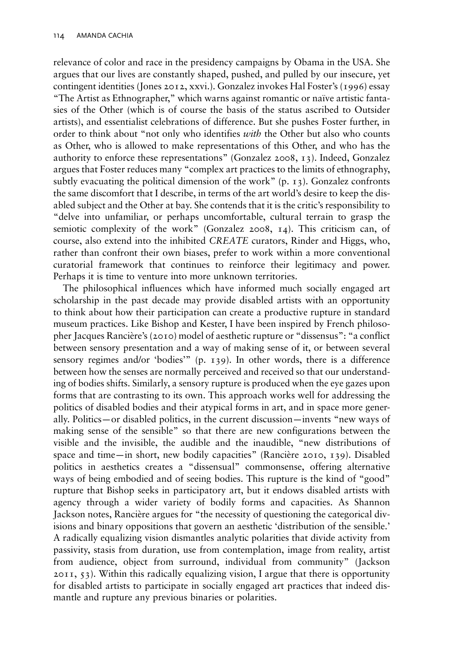relevance of color and race in the presidency campaigns by Obama in the USA. She argues that our lives are constantly shaped, pushed, and pulled by our insecure, yet contingent identities ([Jones 2012](#page-14-0), xxvi.). Gonzalez invokes Hal Foster's (1996) essay "The Artist as Ethnographer," which warns against romantic or naïve artistic fantasies of the Other (which is of course the basis of the status ascribed to Outsider artists), and essentialist celebrations of difference. But she pushes Foster further, in order to think about "not only who identifies *with* the Other but also who counts as Other, who is allowed to make representations of this Other, and who has the authority to enforce these representations" ([Gonzalez 2008](#page-14-0), 13). Indeed, Gonzalez argues that Foster reduces many "complex art practices to the limits of ethnography, subtly evacuating the political dimension of the work" (p. 13). Gonzalez confronts the same discomfort that I describe, in terms of the art world's desire to keep the disabled subject and the Other at bay. She contends that it is the critic's responsibility to "delve into unfamiliar, or perhaps uncomfortable, cultural terrain to grasp the semiotic complexity of the work" [\(Gonzalez 2008,](#page-14-0) 14). This criticism can, of course, also extend into the inhibited CREATE curators, Rinder and Higgs, who, rather than confront their own biases, prefer to work within a more conventional curatorial framework that continues to reinforce their legitimacy and power. Perhaps it is time to venture into more unknown territories.

The philosophical influences which have informed much socially engaged art scholarship in the past decade may provide disabled artists with an opportunity to think about how their participation can create a productive rupture in standard museum practices. Like Bishop and Kester, I have been inspired by French philosopher Jacques Rancière's (2010) model of aesthetic rupture or "dissensus": "a conflict between sensory presentation and a way of making sense of it, or between several sensory regimes and/or 'bodies'" (p. 139). In other words, there is a difference between how the senses are normally perceived and received so that our understanding of bodies shifts. Similarly, a sensory rupture is produced when the eye gazes upon forms that are contrasting to its own. This approach works well for addressing the politics of disabled bodies and their atypical forms in art, and in space more generally. Politics—or disabled politics, in the current discussion—invents "new ways of making sense of the sensible" so that there are new configurations between the visible and the invisible, the audible and the inaudible, "new distributions of space and time—in short, new bodily capacities" ([Rancière 2010](#page-14-0), 139). Disabled politics in aesthetics creates a "dissensual" commonsense, offering alternative ways of being embodied and of seeing bodies. This rupture is the kind of "good" rupture that Bishop seeks in participatory art, but it endows disabled artists with agency through a wider variety of bodily forms and capacities. As Shannon Jackson notes, Rancière argues for "the necessity of questioning the categorical divisions and binary oppositions that govern an aesthetic 'distribution of the sensible.' A radically equalizing vision dismantles analytic polarities that divide activity from passivity, stasis from duration, use from contemplation, image from reality, artist from audience, object from surround, individual from community" [\(Jackson](#page-14-0)  $2011$ ,  $53$ ). Within this radically equalizing vision, I argue that there is opportunity for disabled artists to participate in socially engaged art practices that indeed dismantle and rupture any previous binaries or polarities.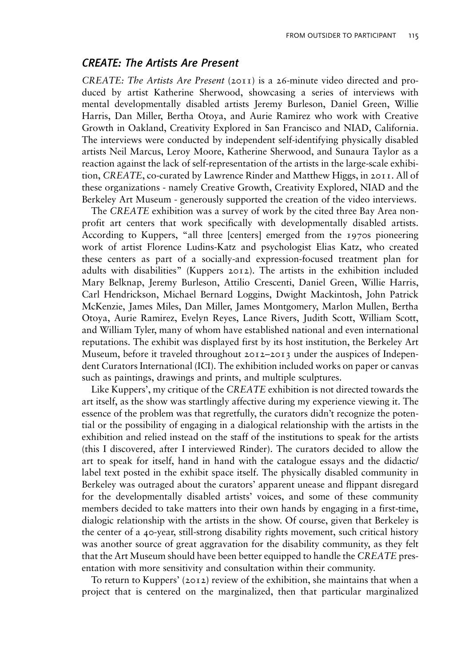### CREATE: The Artists Are Present

CREATE: The Artists Are Present (2011) is a 26-minute video directed and produced by artist Katherine Sherwood, showcasing a series of interviews with mental developmentally disabled artists Jeremy Burleson, Daniel Green, Willie Harris, Dan Miller, Bertha Otoya, and Aurie Ramirez who work with Creative Growth in Oakland, Creativity Explored in San Francisco and NIAD, California. The interviews were conducted by independent self-identifying physically disabled artists Neil Marcus, Leroy Moore, Katherine Sherwood, and Sunaura Taylor as a reaction against the lack of self-representation of the artists in the large-scale exhibition, CREATE, co-curated by Lawrence Rinder and Matthew Higgs, in 2011. All of these organizations - namely Creative Growth, Creativity Explored, NIAD and the Berkeley Art Museum - generously supported the creation of the video interviews.

The CREATE exhibition was a survey of work by the cited three Bay Area nonprofit art centers that work specifically with developmentally disabled artists. According to Kuppers, "all three [centers] emerged from the 1970s pioneering work of artist Florence Ludins-Katz and psychologist Elias Katz, who created these centers as part of a socially-and expression-focused treatment plan for adults with disabilities" [\(Kuppers 2012\)](#page-14-0). The artists in the exhibition included Mary Belknap, Jeremy Burleson, Attilio Crescenti, Daniel Green, Willie Harris, Carl Hendrickson, Michael Bernard Loggins, Dwight Mackintosh, John Patrick McKenzie, James Miles, Dan Miller, James Montgomery, Marlon Mullen, Bertha Otoya, Aurie Ramirez, Evelyn Reyes, Lance Rivers, Judith Scott, William Scott, and William Tyler, many of whom have established national and even international reputations. The exhibit was displayed first by its host institution, the Berkeley Art Museum, before it traveled throughout 2012–2013 under the auspices of Independent Curators International (ICI). The exhibition included works on paper or canvas such as paintings, drawings and prints, and multiple sculptures.

Like Kuppers', my critique of the CREATE exhibition is not directed towards the art itself, as the show was startlingly affective during my experience viewing it. The essence of the problem was that regretfully, the curators didn't recognize the potential or the possibility of engaging in a dialogical relationship with the artists in the exhibition and relied instead on the staff of the institutions to speak for the artists (this I discovered, after I interviewed Rinder). The curators decided to allow the art to speak for itself, hand in hand with the catalogue essays and the didactic/ label text posted in the exhibit space itself. The physically disabled community in Berkeley was outraged about the curators' apparent unease and flippant disregard for the developmentally disabled artists' voices, and some of these community members decided to take matters into their own hands by engaging in a first-time, dialogic relationship with the artists in the show. Of course, given that Berkeley is the center of a 40-year, still-strong disability rights movement, such critical history was another source of great aggravation for the disability community, as they felt that the Art Museum should have been better equipped to handle the CREATE presentation with more sensitivity and consultation within their community.

To return to Kuppers' (2012) review of the exhibition, she maintains that when a project that is centered on the marginalized, then that particular marginalized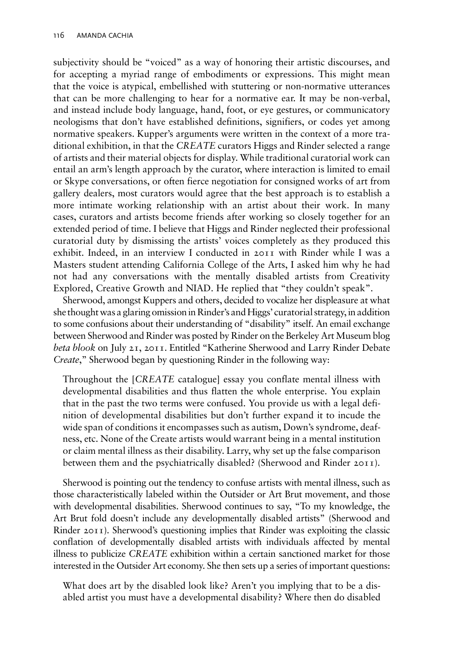subjectivity should be "voiced" as a way of honoring their artistic discourses, and for accepting a myriad range of embodiments or expressions. This might mean that the voice is atypical, embellished with stuttering or non-normative utterances that can be more challenging to hear for a normative ear. It may be non-verbal, and instead include body language, hand, foot, or eye gestures, or communicatory neologisms that don't have established definitions, signifiers, or codes yet among normative speakers. Kupper's arguments were written in the context of a more traditional exhibition, in that the CREATE curators Higgs and Rinder selected a range of artists and their material objects for display. While traditional curatorial work can entail an arm's length approach by the curator, where interaction is limited to email or Skype conversations, or often fierce negotiation for consigned works of art from gallery dealers, most curators would agree that the best approach is to establish a more intimate working relationship with an artist about their work. In many cases, curators and artists become friends after working so closely together for an extended period of time. I believe that Higgs and Rinder neglected their professional curatorial duty by dismissing the artists' voices completely as they produced this exhibit. Indeed, in an interview I conducted in 2011 with Rinder while I was a Masters student attending California College of the Arts, I asked him why he had not had any conversations with the mentally disabled artists from Creativity Explored, Creative Growth and NIAD. He replied that "they couldn't speak".

Sherwood, amongst Kuppers and others, decided to vocalize her displeasure at what she thought was a glaring omission in Rinder's and Higgs' curatorial strategy, in addition to some confusions about their understanding of "disability" itself. An email exchange between Sherwood and Rinder was posted by Rinder on the Berkeley Art Museum blog beta blook on July 21, 2011. Entitled "Katherine Sherwood and Larry Rinder Debate Create," Sherwood began by questioning Rinder in the following way:

Throughout the [CREATE catalogue] essay you conflate mental illness with developmental disabilities and thus flatten the whole enterprise. You explain that in the past the two terms were confused. You provide us with a legal definition of developmental disabilities but don't further expand it to incude the wide span of conditions it encompasses such as autism, Down's syndrome, deafness, etc. None of the Create artists would warrant being in a mental institution or claim mental illness as their disability. Larry, why set up the false comparison between them and the psychiatrically disabled? [\(Sherwood and Rinder 2011\)](#page-14-0).

Sherwood is pointing out the tendency to confuse artists with mental illness, such as those characteristically labeled within the Outsider or Art Brut movement, and those with developmental disabilities. Sherwood continues to say, "To my knowledge, the Art Brut fold doesn't include any developmentally disabled artists" ([Sherwood and](#page-14-0) [Rinder 2011](#page-14-0)). Sherwood's questioning implies that Rinder was exploiting the classic conflation of developmentally disabled artists with individuals affected by mental illness to publicize CREATE exhibition within a certain sanctioned market for those interested in the Outsider Art economy. She then sets up a series of important questions:

What does art by the disabled look like? Aren't you implying that to be a disabled artist you must have a developmental disability? Where then do disabled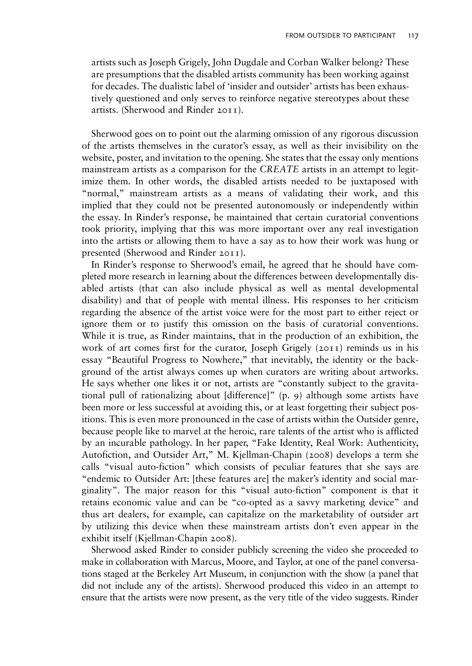artists such as Joseph Grigely, John Dugdale and Corban Walker belong? These are presumptions that the disabled artists community has been working against for decades. The dualistic label of 'insider and outsider' artists has been exhaustively questioned and only serves to reinforce negative stereotypes about these artists. ([Sherwood and Rinder 2011](#page-14-0)).

Sherwood goes on to point out the alarming omission of any rigorous discussion of the artists themselves in the curator's essay, as well as their invisibility on the website, poster, and invitation to the opening. She states that the essay only mentions mainstream artists as a comparison for the CREATE artists in an attempt to legitimize them. In other words, the disabled artists needed to be juxtaposed with "normal," mainstream artists as a means of validating their work, and this implied that they could not be presented autonomously or independently within the essay. In Rinder's response, he maintained that certain curatorial conventions took priority, implying that this was more important over any real investigation into the artists or allowing them to have a say as to how their work was hung or presented ([Sherwood and Rinder 2011](#page-14-0)).

In Rinder's response to Sherwood's email, he agreed that he should have completed more research in learning about the differences between developmentally disabled artists (that can also include physical as well as mental developmental disability) and that of people with mental illness. His responses to her criticism regarding the absence of the artist voice were for the most part to either reject or ignore them or to justify this omission on the basis of curatorial conventions. While it is true, as Rinder maintains, that in the production of an exhibition, the work of art comes first for the curator, Joseph Grigely  $(2011)$  reminds us in his essay "Beautiful Progress to Nowhere," that inevitably, the identity or the background of the artist always comes up when curators are writing about artworks. He says whether one likes it or not, artists are "constantly subject to the gravitational pull of rationalizing about [difference]" (p. 9) although some artists have been more or less successful at avoiding this, or at least forgetting their subject positions. This is even more pronounced in the case of artists within the Outsider genre, because people like to marvel at the heroic, rare talents of the artist who is afflicted by an incurable pathology. In her paper, "Fake Identity, Real Work: Authenticity, Autofiction, and Outsider Art," M. [Kjellman-Chapin \(2008\)](#page-14-0) develops a term she calls "visual auto-fiction" which consists of peculiar features that she says are "endemic to Outsider Art: [these features are] the maker's identity and social marginality". The major reason for this "visual auto-fiction" component is that it retains economic value and can be "co-opted as a savvy marketing device" and thus art dealers, for example, can capitalize on the marketability of outsider art by utilizing this device when these mainstream artists don't even appear in the exhibit itself ([Kjellman-Chapin 2008](#page-14-0)).

Sherwood asked Rinder to consider publicly screening the video she proceeded to make in collaboration with Marcus, Moore, and Taylor, at one of the panel conversations staged at the Berkeley Art Museum, in conjunction with the show (a panel that did not include any of the artists). Sherwood produced this video in an attempt to ensure that the artists were now present, as the very title of the video suggests. Rinder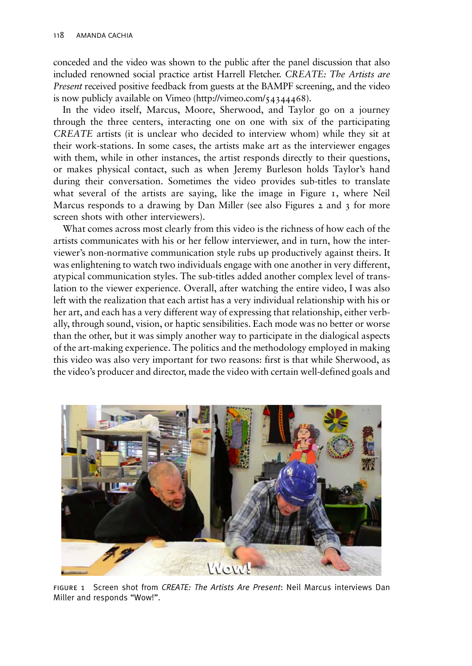conceded and the video was shown to the public after the panel discussion that also included renowned social practice artist Harrell Fletcher. CREATE: The Artists are Present received positive feedback from guests at the BAMPF screening, and the video is now publicly available on Vimeo [\(http://vimeo.com/54344468\)](http://vimeo.com/54344468).

In the video itself, Marcus, Moore, Sherwood, and Taylor go on a journey through the three centers, interacting one on one with six of the participating CREATE artists (it is unclear who decided to interview whom) while they sit at their work-stations. In some cases, the artists make art as the interviewer engages with them, while in other instances, the artist responds directly to their questions, or makes physical contact, such as when Jeremy Burleson holds Taylor's hand during their conversation. Sometimes the video provides sub-titles to translate what several of the artists are saying, like the image in Figure 1, where Neil Marcus responds to a drawing by Dan Miller (see also Figures  $2$  and  $3$  for more screen shots with other interviewers).

What comes across most clearly from this video is the richness of how each of the artists communicates with his or her fellow interviewer, and in turn, how the interviewer's non-normative communication style rubs up productively against theirs. It was enlightening to watch two individuals engage with one another in very different, atypical communication styles. The sub-titles added another complex level of translation to the viewer experience. Overall, after watching the entire video, I was also left with the realization that each artist has a very individual relationship with his or her art, and each has a very different way of expressing that relationship, either verbally, through sound, vision, or haptic sensibilities. Each mode was no better or worse than the other, but it was simply another way to participate in the dialogical aspects of the art-making experience. The politics and the methodology employed in making this video was also very important for two reasons: first is that while Sherwood, as the video's producer and director, made the video with certain well-defined goals and



FIGURE 1 Screen shot from CREATE: The Artists Are Present: Neil Marcus interviews Dan Miller and responds "Wow!".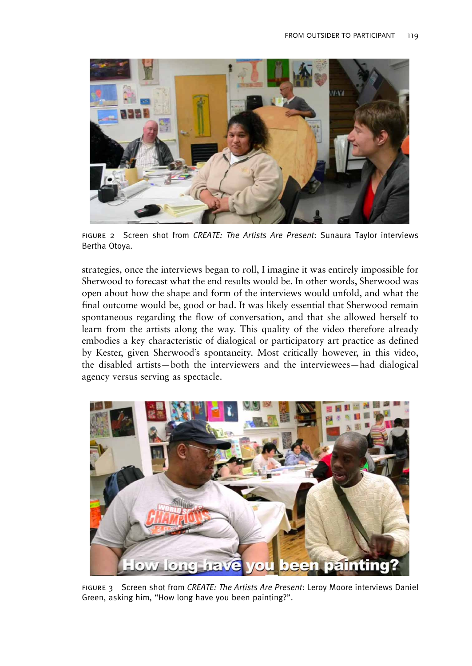<span id="page-10-0"></span>

figure 2 Screen shot from CREATE: The Artists Are Present: Sunaura Taylor interviews Bertha Otoya.

strategies, once the interviews began to roll, I imagine it was entirely impossible for Sherwood to forecast what the end results would be. In other words, Sherwood was open about how the shape and form of the interviews would unfold, and what the final outcome would be, good or bad. It was likely essential that Sherwood remain spontaneous regarding the flow of conversation, and that she allowed herself to learn from the artists along the way. This quality of the video therefore already embodies a key characteristic of dialogical or participatory art practice as defined by Kester, given Sherwood's spontaneity. Most critically however, in this video, the disabled artists—both the interviewers and the interviewees—had dialogical agency versus serving as spectacle.



FIGURE 3 Screen shot from CREATE: The Artists Are Present: Leroy Moore interviews Daniel Green, asking him, "How long have you been painting?".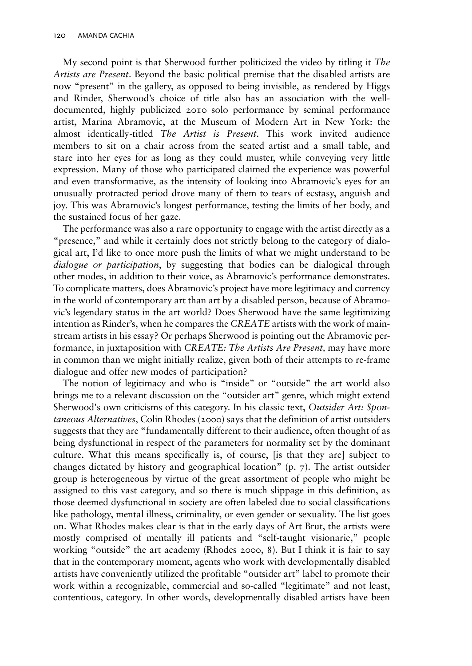My second point is that Sherwood further politicized the video by titling it The Artists are Present. Beyond the basic political premise that the disabled artists are now "present" in the gallery, as opposed to being invisible, as rendered by Higgs and Rinder, Sherwood's choice of title also has an association with the welldocumented, highly publicized 2010 solo performance by seminal performance artist, Marina Abramovic, at the Museum of Modern Art in New York: the almost identically-titled The Artist is Present. This work invited audience members to sit on a chair across from the seated artist and a small table, and stare into her eyes for as long as they could muster, while conveying very little expression. Many of those who participated claimed the experience was powerful and even transformative, as the intensity of looking into Abramovic's eyes for an unusually protracted period drove many of them to tears of ecstasy, anguish and joy. This was Abramovic's longest performance, testing the limits of her body, and the sustained focus of her gaze.

The performance was also a rare opportunity to engage with the artist directly as a "presence," and while it certainly does not strictly belong to the category of dialogical art, I'd like to once more push the limits of what we might understand to be dialogue or participation, by suggesting that bodies can be dialogical through other modes, in addition to their voice, as Abramovic's performance demonstrates. To complicate matters, does Abramovic's project have more legitimacy and currency in the world of contemporary art than art by a disabled person, because of Abramovic's legendary status in the art world? Does Sherwood have the same legitimizing intention as Rinder's, when he compares the CREATE artists with the work of mainstream artists in his essay? Or perhaps Sherwood is pointing out the Abramovic performance, in juxtaposition with CREATE: The Artists Are Present, may have more in common than we might initially realize, given both of their attempts to re-frame dialogue and offer new modes of participation?

The notion of legitimacy and who is "inside" or "outside" the art world also brings me to a relevant discussion on the "outsider art" genre, which might extend Sherwood's own criticisms of this category. In his classic text, Outsider Art: Spontaneous Alternatives, Colin [Rhodes \(2000\)](#page-14-0) says that the definition of artist outsiders suggests that they are "fundamentally different to their audience, often thought of as being dysfunctional in respect of the parameters for normality set by the dominant culture. What this means specifically is, of course, [is that they are] subject to changes dictated by history and geographical location" (p. 7). The artist outsider group is heterogeneous by virtue of the great assortment of people who might be assigned to this vast category, and so there is much slippage in this definition, as those deemed dysfunctional in society are often labeled due to social classifications like pathology, mental illness, criminality, or even gender or sexuality. The list goes on. What Rhodes makes clear is that in the early days of Art Brut, the artists were mostly comprised of mentally ill patients and "self-taught visionarie," people working "outside" the art academy ([Rhodes 2000](#page-14-0), 8). But I think it is fair to say that in the contemporary moment, agents who work with developmentally disabled artists have conveniently utilized the profitable "outsider art" label to promote their work within a recognizable, commercial and so-called "legitimate" and not least, contentious, category. In other words, developmentally disabled artists have been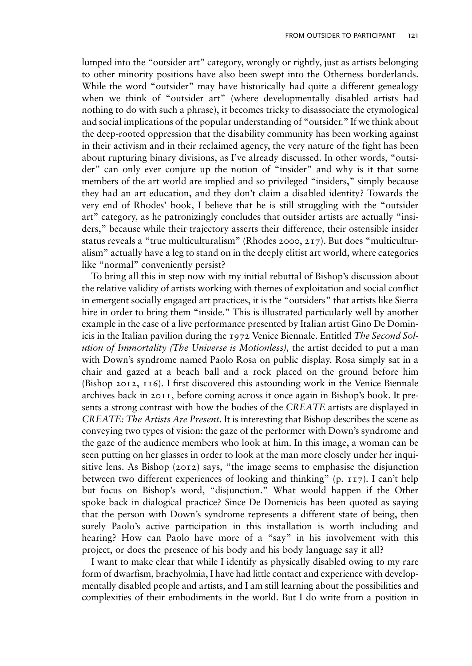lumped into the "outsider art" category, wrongly or rightly, just as artists belonging to other minority positions have also been swept into the Otherness borderlands. While the word "outsider" may have historically had quite a different genealogy when we think of "outsider art" (where developmentally disabled artists had nothing to do with such a phrase), it becomes tricky to disassociate the etymological and social implications of the popular understanding of "outsider." If we think about the deep-rooted oppression that the disability community has been working against in their activism and in their reclaimed agency, the very nature of the fight has been about rupturing binary divisions, as I've already discussed. In other words, "outsider" can only ever conjure up the notion of "insider" and why is it that some members of the art world are implied and so privileged "insiders," simply because they had an art education, and they don't claim a disabled identity? Towards the very end of Rhodes' book, I believe that he is still struggling with the "outsider art" category, as he patronizingly concludes that outsider artists are actually "insiders," because while their trajectory asserts their difference, their ostensible insider status reveals a "true multiculturalism" ([Rhodes 2000](#page-14-0), 217). But does "multiculturalism" actually have a leg to stand on in the deeply elitist art world, where categories like "normal" conveniently persist?

To bring all this in step now with my initial rebuttal of Bishop's discussion about the relative validity of artists working with themes of exploitation and social conflict in emergent socially engaged art practices, it is the "outsiders" that artists like Sierra hire in order to bring them "inside." This is illustrated particularly well by another example in the case of a live performance presented by Italian artist Gino De Dominicis in the Italian pavilion during the  $1972$  Venice Biennale. Entitled The Second Solution of Immortality (The Universe is Motionless), the artist decided to put a man with Down's syndrome named Paolo Rosa on public display. Rosa simply sat in a chair and gazed at a beach ball and a rock placed on the ground before him [\(Bishop 2012,](#page-14-0) 116). I first discovered this astounding work in the Venice Biennale archives back in 2011, before coming across it once again in Bishop's book. It presents a strong contrast with how the bodies of the CREATE artists are displayed in CREATE: The Artists Are Present. It is interesting that Bishop describes the scene as conveying two types of vision: the gaze of the performer with Down's syndrome and the gaze of the audience members who look at him. In this image, a woman can be seen putting on her glasses in order to look at the man more closely under her inquisitive lens. As [Bishop \(2012\)](#page-14-0) says, "the image seems to emphasise the disjunction between two different experiences of looking and thinking" (p. 117). I can't help but focus on Bishop's word, "disjunction." What would happen if the Other spoke back in dialogical practice? Since De Domenicis has been quoted as saying that the person with Down's syndrome represents a different state of being, then surely Paolo's active participation in this installation is worth including and hearing? How can Paolo have more of a "say" in his involvement with this project, or does the presence of his body and his body language say it all?

I want to make clear that while I identify as physically disabled owing to my rare form of dwarfism, brachyolmia, I have had little contact and experience with developmentally disabled people and artists, and I am still learning about the possibilities and complexities of their embodiments in the world. But I do write from a position in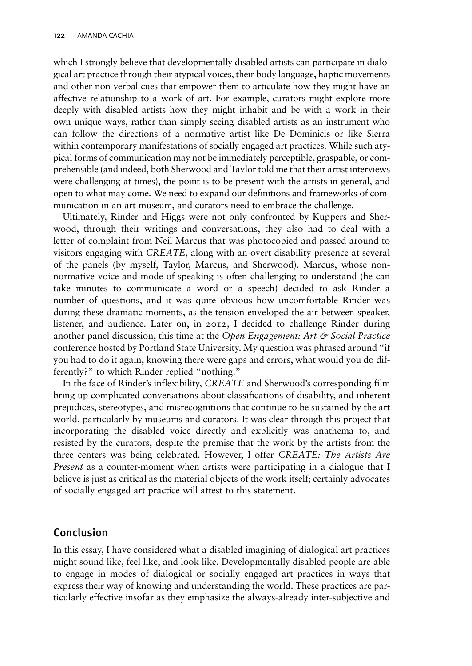which I strongly believe that developmentally disabled artists can participate in dialogical art practice through their atypical voices, their body language, haptic movements and other non-verbal cues that empower them to articulate how they might have an affective relationship to a work of art. For example, curators might explore more deeply with disabled artists how they might inhabit and be with a work in their own unique ways, rather than simply seeing disabled artists as an instrument who can follow the directions of a normative artist like De Dominicis or like Sierra within contemporary manifestations of socially engaged art practices. While such atypical forms of communication may not be immediately perceptible, graspable, or comprehensible (and indeed, both Sherwood and Taylor told me that their artist interviews were challenging at times), the point is to be present with the artists in general, and open to what may come. We need to expand our definitions and frameworks of communication in an art museum, and curators need to embrace the challenge.

Ultimately, Rinder and Higgs were not only confronted by Kuppers and Sherwood, through their writings and conversations, they also had to deal with a letter of complaint from Neil Marcus that was photocopied and passed around to visitors engaging with CREATE, along with an overt disability presence at several of the panels (by myself, Taylor, Marcus, and Sherwood). Marcus, whose nonnormative voice and mode of speaking is often challenging to understand (he can take minutes to communicate a word or a speech) decided to ask Rinder a number of questions, and it was quite obvious how uncomfortable Rinder was during these dramatic moments, as the tension enveloped the air between speaker, listener, and audience. Later on, in 2012, I decided to challenge Rinder during another panel discussion, this time at the Open Engagement: Art  $\acute{\sigma}$  Social Practice conference hosted by Portland State University. My question was phrased around "if you had to do it again, knowing there were gaps and errors, what would you do differently?" to which Rinder replied "nothing."

In the face of Rinder's inflexibility, CREATE and Sherwood's corresponding film bring up complicated conversations about classifications of disability, and inherent prejudices, stereotypes, and misrecognitions that continue to be sustained by the art world, particularly by museums and curators. It was clear through this project that incorporating the disabled voice directly and explicitly was anathema to, and resisted by the curators, despite the premise that the work by the artists from the three centers was being celebrated. However, I offer CREATE: The Artists Are Present as a counter-moment when artists were participating in a dialogue that I believe is just as critical as the material objects of the work itself; certainly advocates of socially engaged art practice will attest to this statement.

## Conclusion

In this essay, I have considered what a disabled imagining of dialogical art practices might sound like, feel like, and look like. Developmentally disabled people are able to engage in modes of dialogical or socially engaged art practices in ways that express their way of knowing and understanding the world. These practices are particularly effective insofar as they emphasize the always-already inter-subjective and